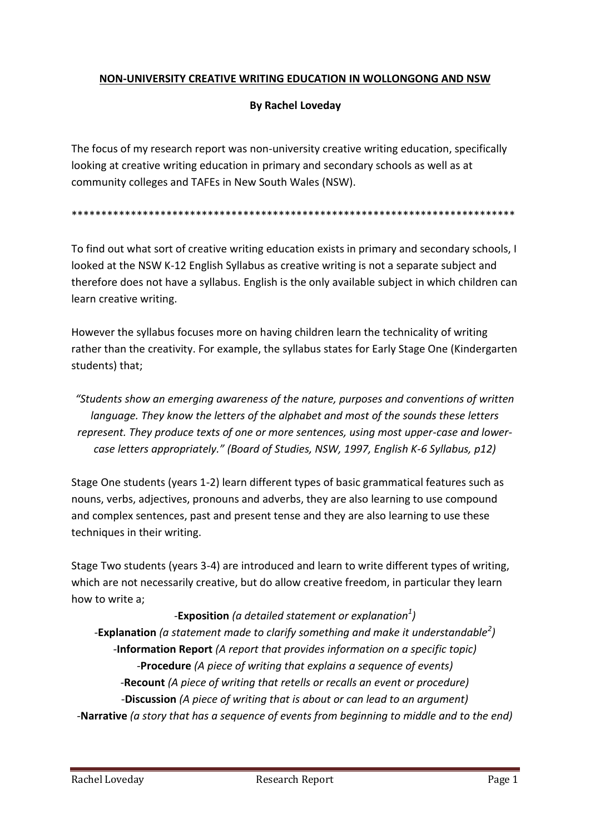## **NON-UNIVERSITY CREATIVE WRITING EDUCATION IN WOLLONGONG AND NSW**

### **By Rachel Loveday**

The focus of my research report was non-university creative writing education, specifically looking at creative writing education in primary and secondary schools as well as at community colleges and TAFEs in New South Wales (NSW).

#### \*\*\*\*\*\*\*\*\*\*\*\*\*\*\*\*\*\*\*\*\*\*\*\*\*\*\*\*\*\*\*\*\*\*\*\*\*\*\*\*\*\*\*\*\*\*\*\*\*\*\*\*\*\*\*\*\*\*\*\*\*\*\*\*\*\*\*\*\*\*\*\*\*\*\*

To find out what sort of creative writing education exists in primary and secondary schools, I looked at the NSW K-12 English Syllabus as creative writing is not a separate subject and therefore does not have a syllabus. English is the only available subject in which children can learn creative writing.

However the syllabus focuses more on having children learn the technicality of writing rather than the creativity. For example, the syllabus states for Early Stage One (Kindergarten students) that;

*"Students show an emerging awareness of the nature, purposes and conventions of written language. They know the letters of the alphabet and most of the sounds these letters represent. They produce texts of one or more sentences, using most upper-case and lowercase letters appropriately." (Board of Studies, NSW, 1997, English K-6 Syllabus, p12)*

Stage One students (years 1-2) learn different types of basic grammatical features such as nouns, verbs, adjectives, pronouns and adverbs, they are also learning to use compound and complex sentences, past and present tense and they are also learning to use these techniques in their writing.

Stage Two students (years 3-4) are introduced and learn to write different types of writing, which are not necessarily creative, but do allow creative freedom, in particular they learn how to write a;

*-***Exposition** *(a detailed statement or explanation<sup>1</sup> ) -***Explanation** *(a statement made to clarify something and make it understandable<sup>2</sup> ) -***Information Report** *(A report that provides information on a specific topic) -***Procedure** *(A piece of writing that explains a sequence of events) -***Recount** *(A piece of writing that retells or recalls an event or procedure) -***Discussion** *(A piece of writing that is about or can lead to an argument) -***Narrative** *(a story that has a sequence of events from beginning to middle and to the end)*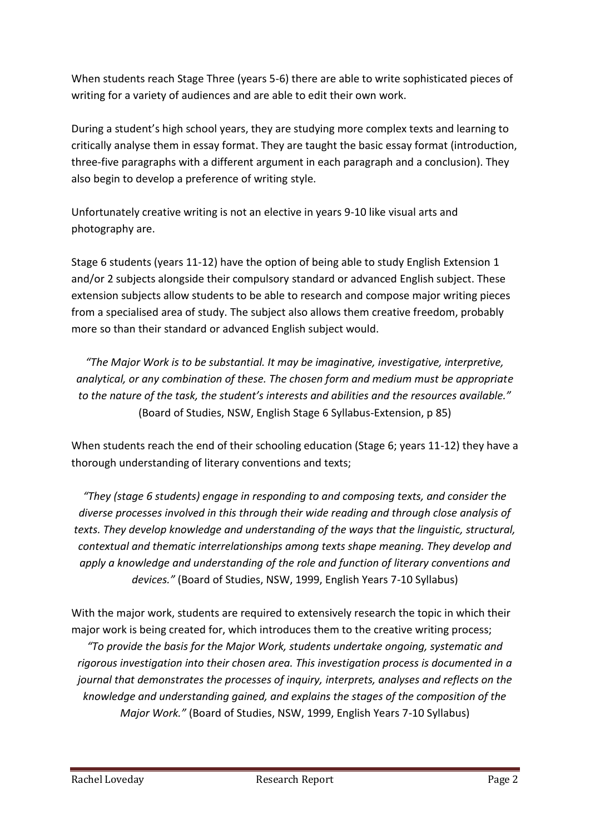When students reach Stage Three (years 5-6) there are able to write sophisticated pieces of writing for a variety of audiences and are able to edit their own work.

During a student's high school years, they are studying more complex texts and learning to critically analyse them in essay format. They are taught the basic essay format (introduction, three-five paragraphs with a different argument in each paragraph and a conclusion). They also begin to develop a preference of writing style.

Unfortunately creative writing is not an elective in years 9-10 like visual arts and photography are.

Stage 6 students (years 11-12) have the option of being able to study English Extension 1 and/or 2 subjects alongside their compulsory standard or advanced English subject. These extension subjects allow students to be able to research and compose major writing pieces from a specialised area of study. The subject also allows them creative freedom, probably more so than their standard or advanced English subject would.

*"The Major Work is to be substantial. It may be imaginative, investigative, interpretive, analytical, or any combination of these. The chosen form and medium must be appropriate to the nature of the task, the student's interests and abilities and the resources available."*  (Board of Studies, NSW, English Stage 6 Syllabus-Extension, p 85)

When students reach the end of their schooling education (Stage 6; years 11-12) they have a thorough understanding of literary conventions and texts;

*"They (stage 6 students) engage in responding to and composing texts, and consider the diverse processes involved in this through their wide reading and through close analysis of texts. They develop knowledge and understanding of the ways that the linguistic, structural, contextual and thematic interrelationships among texts shape meaning. They develop and apply a knowledge and understanding of the role and function of literary conventions and devices."* (Board of Studies, NSW, 1999, English Years 7-10 Syllabus)

With the major work, students are required to extensively research the topic in which their major work is being created for, which introduces them to the creative writing process;

*"To provide the basis for the Major Work, students undertake ongoing, systematic and rigorous investigation into their chosen area. This investigation process is documented in a journal that demonstrates the processes of inquiry, interprets, analyses and reflects on the knowledge and understanding gained, and explains the stages of the composition of the Major Work."* (Board of Studies, NSW, 1999, English Years 7-10 Syllabus)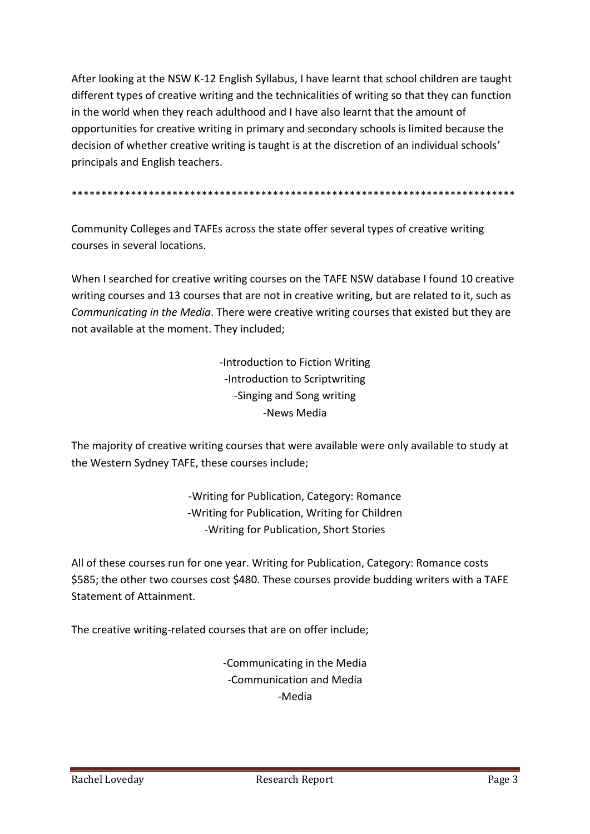After looking at the NSW K-12 English Syllabus, I have learnt that school children are taught different types of creative writing and the technicalities of writing so that they can function in the world when they reach adulthood and I have also learnt that the amount of opportunities for creative writing in primary and secondary schools is limited because the decision of whether creative writing is taught is at the discretion of an individual schools' principals and English teachers.

\*\*\*\*\*\*\*\*\*\*\*\*\*\*\*\*\*\*\*\*\*\*\*\*\*\*\*\*\*\*\*\*\*\*\*\*\*\*\*\*\*\*\*\*\*\*\*\*\*\*\*\*\*\*\*\*\*\*\*\*\*\*\*\*\*\*\*\*\*\*\*\*\*\*\*

Community Colleges and TAFEs across the state offer several types of creative writing courses in several locations.

When I searched for creative writing courses on the TAFE NSW database I found 10 creative writing courses and 13 courses that are not in creative writing, but are related to it, such as *Communicating in the Media*. There were creative writing courses that existed but they are not available at the moment. They included;

> -Introduction to Fiction Writing -Introduction to Scriptwriting -Singing and Song writing -News Media

The majority of creative writing courses that were available were only available to study at the Western Sydney TAFE, these courses include;

> -Writing for Publication, Category: Romance -Writing for Publication, Writing for Children -Writing for Publication, Short Stories

All of these courses run for one year. Writing for Publication, Category: Romance costs \$585; the other two courses cost \$480. These courses provide budding writers with a TAFE Statement of Attainment.

The creative writing-related courses that are on offer include;

-Communicating in the Media -Communication and Media -Media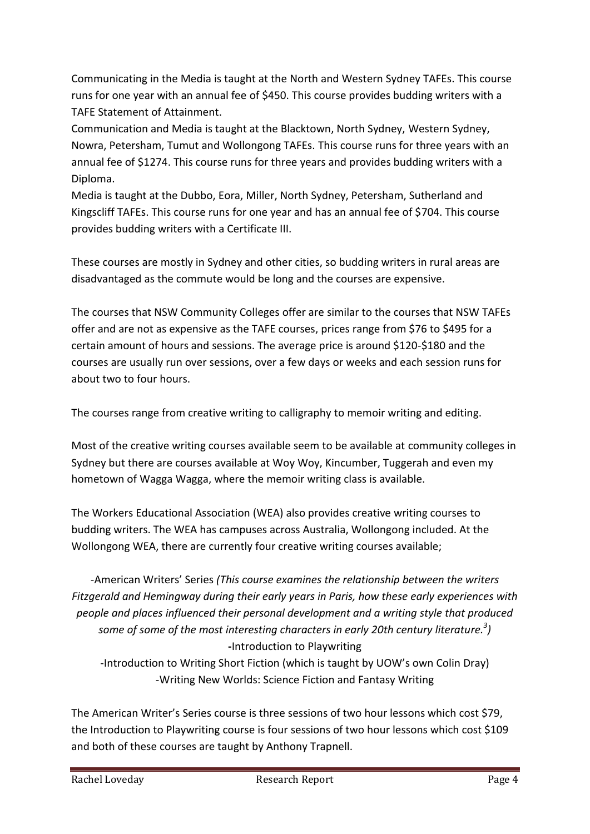Communicating in the Media is taught at the North and Western Sydney TAFEs. This course runs for one year with an annual fee of \$450. This course provides budding writers with a TAFE Statement of Attainment.

Communication and Media is taught at the Blacktown, North Sydney, Western Sydney, Nowra, Petersham, Tumut and Wollongong TAFEs. This course runs for three years with an annual fee of \$1274. This course runs for three years and provides budding writers with a Diploma.

Media is taught at the Dubbo, Eora, Miller, North Sydney, Petersham, Sutherland and Kingscliff TAFEs. This course runs for one year and has an annual fee of \$704. This course provides budding writers with a Certificate III.

These courses are mostly in Sydney and other cities, so budding writers in rural areas are disadvantaged as the commute would be long and the courses are expensive.

The courses that NSW Community Colleges offer are similar to the courses that NSW TAFEs offer and are not as expensive as the TAFE courses, prices range from \$76 to \$495 for a certain amount of hours and sessions. The average price is around \$120-\$180 and the courses are usually run over sessions, over a few days or weeks and each session runs for about two to four hours.

The courses range from creative writing to calligraphy to memoir writing and editing.

Most of the creative writing courses available seem to be available at community colleges in Sydney but there are courses available at Woy Woy, Kincumber, Tuggerah and even my hometown of Wagga Wagga, where the memoir writing class is available.

The Workers Educational Association (WEA) also provides creative writing courses to budding writers. The WEA has campuses across Australia, Wollongong included. At the Wollongong WEA, there are currently four creative writing courses available;

-American Writers' Series *(This course examines the relationship between the writers Fitzgerald and Hemingway during their early years in Paris, how these early experiences with people and places influenced their personal development and a writing style that produced some of some of the most interesting characters in early 20th century literature.<sup>3</sup> )* **-**Introduction to Playwriting

-Introduction to Writing Short Fiction (which is taught by UOW's own Colin Dray) -Writing New Worlds: Science Fiction and Fantasy Writing

The American Writer's Series course is three sessions of two hour lessons which cost \$79, the Introduction to Playwriting course is four sessions of two hour lessons which cost \$109 and both of these courses are taught by Anthony Trapnell.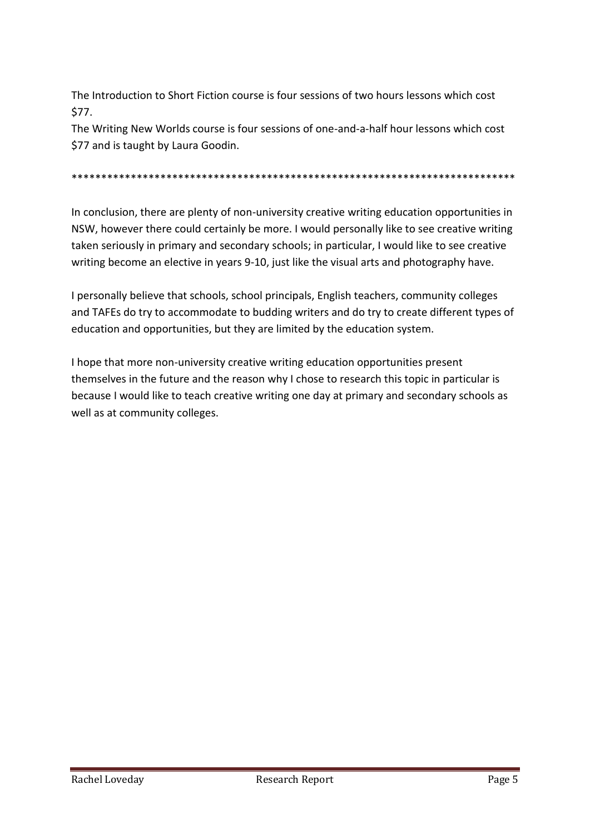The Introduction to Short Fiction course is four sessions of two hours lessons which cost \$77.

The Writing New Worlds course is four sessions of one-and-a-half hour lessons which cost \$77 and is taught by Laura Goodin.

\*\*\*\*\*\*\*\*\*\*\*\*\*\*\*\*\*\*\*\*\*\*\*\*\*\*\*\*\*\*\*\*\*\*\*\*\*\*\*\*\*\*\*\*\*\*\*\*\*\*\*\*\*\*\*\*\*\*\*\*\*\*\*\*\*\*\*\*\*\*\*\*\*\*\*

In conclusion, there are plenty of non-university creative writing education opportunities in NSW, however there could certainly be more. I would personally like to see creative writing taken seriously in primary and secondary schools; in particular, I would like to see creative writing become an elective in years 9-10, just like the visual arts and photography have.

I personally believe that schools, school principals, English teachers, community colleges and TAFEs do try to accommodate to budding writers and do try to create different types of education and opportunities, but they are limited by the education system.

I hope that more non-university creative writing education opportunities present themselves in the future and the reason why I chose to research this topic in particular is because I would like to teach creative writing one day at primary and secondary schools as well as at community colleges.